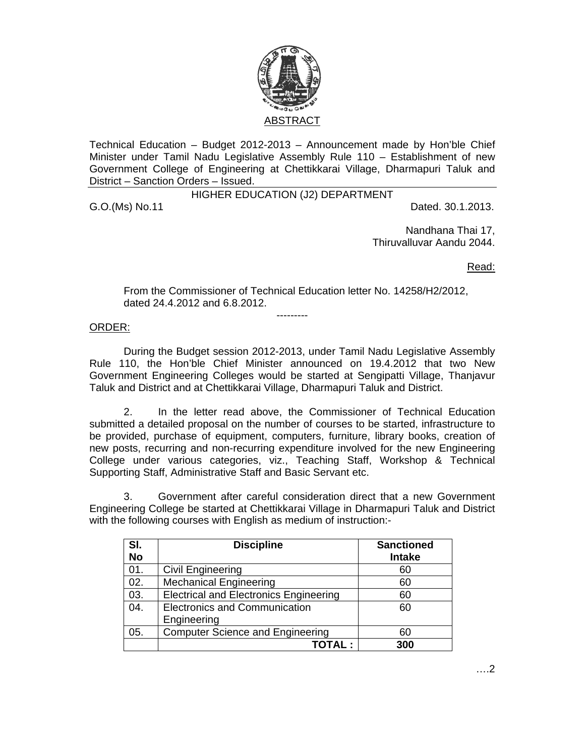

Technical Education – Budget 2012-2013 – Announcement made by Hon'ble Chief Minister under Tamil Nadu Legislative Assembly Rule 110 – Establishment of new Government College of Engineering at Chettikkarai Village, Dharmapuri Taluk and District – Sanction Orders – Issued.

HIGHER EDUCATION (J2) DEPARTMENT

G.O.(Ms) No.11 Dated. 30.1.2013.

Nandhana Thai 17, Thiruvalluvar Aandu 2044.

Read:

From the Commissioner of Technical Education letter No. 14258/H2/2012, dated 24.4.2012 and 6.8.2012.

---------

## ORDER:

 During the Budget session 2012-2013, under Tamil Nadu Legislative Assembly Rule 110, the Hon'ble Chief Minister announced on 19.4.2012 that two New Government Engineering Colleges would be started at Sengipatti Village, Thanjavur Taluk and District and at Chettikkarai Village, Dharmapuri Taluk and District.

 2. In the letter read above, the Commissioner of Technical Education submitted a detailed proposal on the number of courses to be started, infrastructure to be provided, purchase of equipment, computers, furniture, library books, creation of new posts, recurring and non-recurring expenditure involved for the new Engineering College under various categories, viz., Teaching Staff, Workshop & Technical Supporting Staff, Administrative Staff and Basic Servant etc.

3. Government after careful consideration direct that a new Government Engineering College be started at Chettikkarai Village in Dharmapuri Taluk and District with the following courses with English as medium of instruction:-

| SI.       | <b>Discipline</b>                             | <b>Sanctioned</b> |  |
|-----------|-----------------------------------------------|-------------------|--|
| <b>No</b> |                                               | <b>Intake</b>     |  |
| 01.       | <b>Civil Engineering</b>                      | 60                |  |
| 02.       | <b>Mechanical Engineering</b>                 | 60                |  |
| 03.       | <b>Electrical and Electronics Engineering</b> | 60                |  |
| 04.       | <b>Electronics and Communication</b>          | 60                |  |
|           | Engineering                                   |                   |  |
| 05.       | <b>Computer Science and Engineering</b>       | 60                |  |
|           | TOTAL :                                       | 300               |  |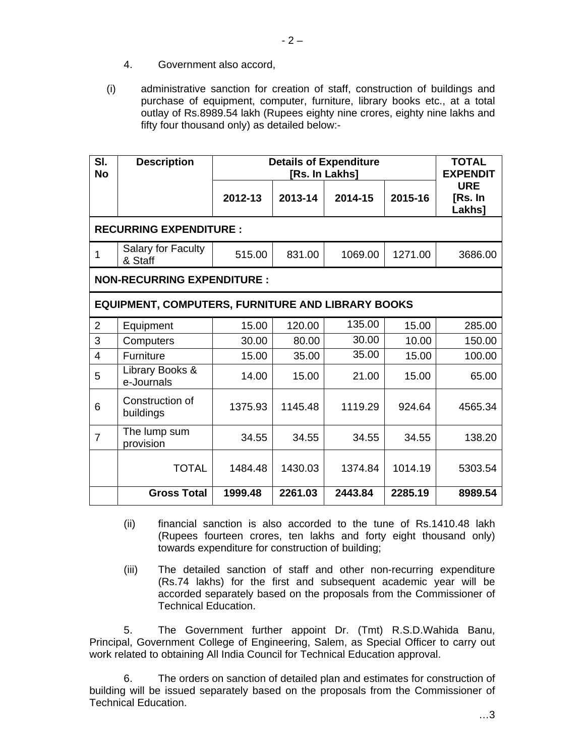- 4. Government also accord,
- (i) administrative sanction for creation of staff, construction of buildings and purchase of equipment, computer, furniture, library books etc., at a total outlay of Rs.8989.54 lakh (Rupees eighty nine crores, eighty nine lakhs and fifty four thousand only) as detailed below:-

| SI.<br><b>No</b>                                         | <b>Description</b>                   | <b>Details of Expenditure</b><br>[Rs. In Lakhs] |         |         |         | <b>TOTAL</b><br><b>EXPENDIT</b> |  |  |  |
|----------------------------------------------------------|--------------------------------------|-------------------------------------------------|---------|---------|---------|---------------------------------|--|--|--|
|                                                          |                                      | 2012-13                                         | 2013-14 | 2014-15 | 2015-16 | <b>URE</b><br>[Rs. In<br>Lakhs] |  |  |  |
| <b>RECURRING EXPENDITURE:</b>                            |                                      |                                                 |         |         |         |                                 |  |  |  |
| 1                                                        | <b>Salary for Faculty</b><br>& Staff | 515.00                                          | 831.00  | 1069.00 | 1271.00 | 3686.00                         |  |  |  |
| <b>NON-RECURRING EXPENDITURE:</b>                        |                                      |                                                 |         |         |         |                                 |  |  |  |
| <b>EQUIPMENT, COMPUTERS, FURNITURE AND LIBRARY BOOKS</b> |                                      |                                                 |         |         |         |                                 |  |  |  |
| $\overline{2}$                                           | Equipment                            | 15.00                                           | 120.00  | 135.00  | 15.00   | 285.00                          |  |  |  |
| 3                                                        | Computers                            | 30.00                                           | 80.00   | 30.00   | 10.00   | 150.00                          |  |  |  |
| $\overline{4}$                                           | Furniture                            | 15.00                                           | 35.00   | 35.00   | 15.00   | 100.00                          |  |  |  |
| 5                                                        | Library Books &<br>e-Journals        | 14.00                                           | 15.00   | 21.00   | 15.00   | 65.00                           |  |  |  |
| 6                                                        | Construction of<br>buildings         | 1375.93                                         | 1145.48 | 1119.29 | 924.64  | 4565.34                         |  |  |  |
| $\overline{7}$                                           | The lump sum<br>provision            | 34.55                                           | 34.55   | 34.55   | 34.55   | 138.20                          |  |  |  |
|                                                          | <b>TOTAL</b>                         | 1484.48                                         | 1430.03 | 1374.84 | 1014.19 | 5303.54                         |  |  |  |
|                                                          | <b>Gross Total</b>                   | 1999.48                                         | 2261.03 | 2443.84 | 2285.19 | 8989.54                         |  |  |  |

- (ii) financial sanction is also accorded to the tune of Rs.1410.48 lakh (Rupees fourteen crores, ten lakhs and forty eight thousand only) towards expenditure for construction of building;
- (iii) The detailed sanction of staff and other non-recurring expenditure (Rs.74 lakhs) for the first and subsequent academic year will be accorded separately based on the proposals from the Commissioner of Technical Education.

5. The Government further appoint Dr. (Tmt) R.S.D.Wahida Banu, Principal, Government College of Engineering, Salem, as Special Officer to carry out work related to obtaining All India Council for Technical Education approval.

 6. The orders on sanction of detailed plan and estimates for construction of building will be issued separately based on the proposals from the Commissioner of Technical Education.